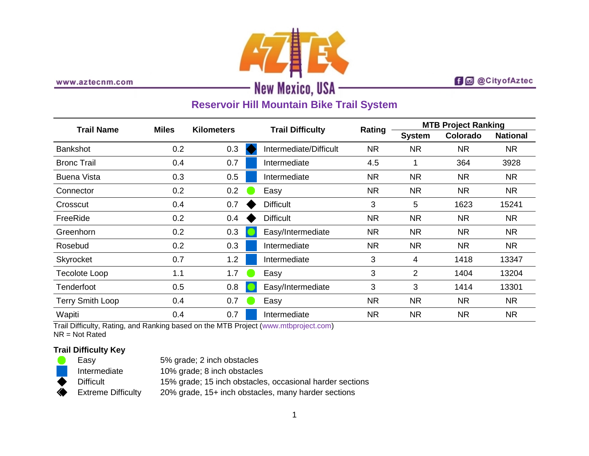

www.aztecnm.com

## **f d** @CityofAztec

# **Reservoir Hill Mountain Bike Trail System**

| <b>Trail Name</b>  | <b>Miles</b> | <b>Kilometers</b> |  |                         |           | <b>MTB Project Ranking</b> |           |                 |
|--------------------|--------------|-------------------|--|-------------------------|-----------|----------------------------|-----------|-----------------|
|                    |              |                   |  | <b>Trail Difficulty</b> | Rating    | <b>System</b>              | Colorado  | <b>National</b> |
| <b>Bankshot</b>    | 0.2          | 0.3               |  | Intermediate/Difficult  | <b>NR</b> | <b>NR</b>                  | <b>NR</b> | <b>NR</b>       |
| <b>Bronc Trail</b> | 0.4          | 0.7               |  | Intermediate            | 4.5       |                            | 364       | 3928            |
| Buena Vista        | 0.3          | 0.5               |  | Intermediate            | <b>NR</b> | <b>NR</b>                  | <b>NR</b> | <b>NR</b>       |
| Connector          | 0.2          | 0.2               |  | Easy                    | <b>NR</b> | <b>NR</b>                  | <b>NR</b> | <b>NR</b>       |
| Crosscut           | 0.4          | 0.7               |  | <b>Difficult</b>        | 3         | 5                          | 1623      | 15241           |
| FreeRide           | 0.2          | 0.4               |  | <b>Difficult</b>        | <b>NR</b> | <b>NR</b>                  | <b>NR</b> | <b>NR</b>       |
| Greenhorn          | 0.2          | 0.3               |  | Easy/Intermediate       | <b>NR</b> | <b>NR</b>                  | <b>NR</b> | <b>NR</b>       |
| Rosebud            | 0.2          | 0.3               |  | Intermediate            | <b>NR</b> | <b>NR</b>                  | <b>NR</b> | <b>NR</b>       |
| Skyrocket          | 0.7          | 1.2               |  | Intermediate            | 3         | 4                          | 1418      | 13347           |
| Tecolote Loop      | 1.1          | 1.7               |  | Easy                    | 3         | $\overline{2}$             | 1404      | 13204           |
| Tenderfoot         | 0.5          | 0.8               |  | Easy/Intermediate       | 3         | 3                          | 1414      | 13301           |
| Terry Smith Loop   | 0.4          | 0.7               |  | Easy                    | <b>NR</b> | <b>NR</b>                  | <b>NR</b> | <b>NR</b>       |
| Wapiti             | 0.4          | 0.7               |  | Intermediate            | <b>NR</b> | <b>NR</b>                  | <b>NR</b> | <b>NR</b>       |

Trail Difficulty, Rating, and Ranking based on the MTB Project [\(www.mtbproject.com\)](http://www.mtbproject.com/) NR = Not Rated

## **Trail Difficulty Key**

|   | Easv                      | 5% grade; 2 inch obstacles                               |
|---|---------------------------|----------------------------------------------------------|
|   | Intermediate              | 10% grade; 8 inch obstacles                              |
|   | <b>Difficult</b>          | 15% grade; 15 inch obstacles, occasional harder sections |
| ◈ | <b>Extreme Difficulty</b> | 20% grade, 15+ inch obstacles, many harder sections      |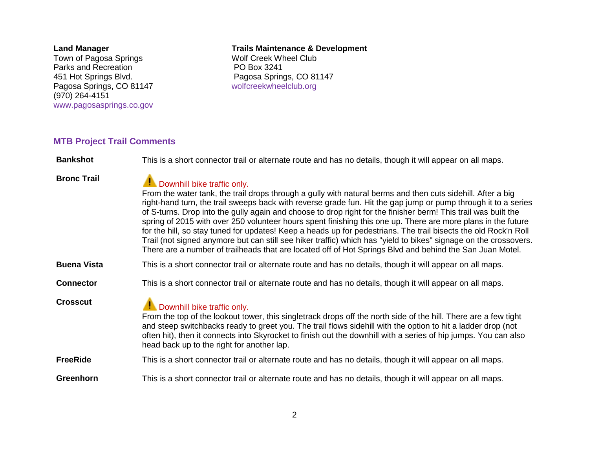#### **Land Manager**

Town of Pagosa Springs Parks and Recreation 451 Hot Springs Blvd. Pagosa Springs, CO 81147 (970) 264-4151 [www.pagosasprings.co.gov](http://www.pagosasprings.co.gov/)

#### **Trails Maintenance & Development**

Wolf Creek Wheel Club PO Box 3241 Pagosa Springs, CO 81147 [wolfcreekwheelclub.org](http://wolfcreekwheelclub.org/)

### **MTB Project Trail Comments**

**Bankshot** This is a short connector trail or alternate route and has no details, though it will appear on all maps.

# **Bronc Trail** Downhill bike traffic only. From the water tank, the trail drops through a gully with natural berms and then cuts sidehill. After a big right-hand turn, the trail sweeps back with reverse grade fun. Hit the gap jump or pump through it to a series of S-turns. Drop into the gully again and choose to drop right for the finisher berm! This trail was built the spring of 2015 with over 250 volunteer hours spent finishing this one up. There are more plans in the future for the hill, so stay tuned for updates! Keep a heads up for pedestrians. The trail bisects the old Rock'n Roll Trail (not signed anymore but can still see hiker traffic) which has "yield to bikes" signage on the crossovers. There are a number of trailheads that are located off of Hot Springs Blvd and behind the San Juan Motel. **Buena Vista** This is a short connector trail or alternate route and has no details, though it will appear on all maps. **Connector** This is a short connector trail or alternate route and has no details, though it will appear on all maps. **Crosscut** Downhill bike traffic only. From the top of the lookout tower, this singletrack drops off the north side of the hill. There are a few tight and steep switchbacks ready to greet you. The trail flows sidehill with the option to hit a ladder drop (not often hit), then it connects into Skyrocket to finish out the downhill with a series of hip jumps. You can also head back up to the right for another lap. **FreeRide** This is a short connector trail or alternate route and has no details, though it will appear on all maps. **Greenhorn** This is a short connector trail or alternate route and has no details, though it will appear on all maps.